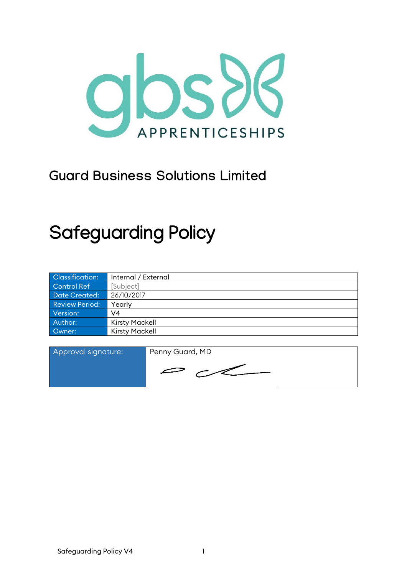

## **Guard Business Solutions Limited**

# **Safeguarding Policy**

| <b>Classification:</b> | Internal / External   |
|------------------------|-----------------------|
| Control Ref            | [Subject]             |
| <b>Date Created:</b>   | 26/10/2017            |
| <b>Review Period:</b>  | Yearly                |
| Version:               | V4                    |
| Author:                | <b>Kirsty Mackell</b> |
| Owner:                 | <b>Kirsty Mackell</b> |

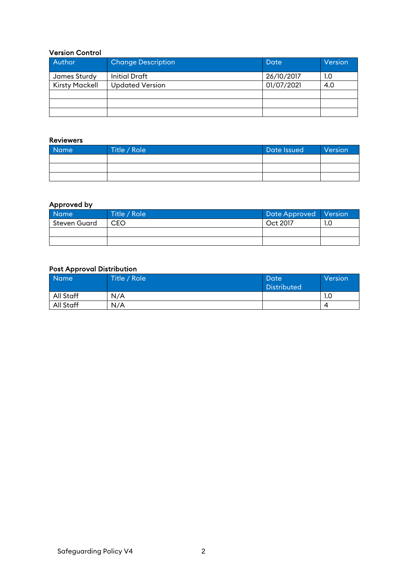#### Version Control

| Author                | <b>Change Description</b> | Date       | Version |
|-----------------------|---------------------------|------------|---------|
| James Sturdy          | Initial Draft             | 26/10/2017 | 1.0     |
| <b>Kirsty Mackell</b> | <b>Updated Version</b>    | 01/07/2021 | 4.0     |
|                       |                           |            |         |
|                       |                           |            |         |
|                       |                           |            |         |

#### Reviewers

| <b>Name</b> | Title / Role | Date Issued | Version |
|-------------|--------------|-------------|---------|
|             |              |             |         |
|             |              |             |         |
|             |              |             |         |

#### Approved by

| Name         | Title / Role | Date Approved   Version |     |
|--------------|--------------|-------------------------|-----|
| Steven Guard | CEO          | Oct 2017                | 1.C |
|              |              |                         |     |
|              |              |                         |     |

## Post Approval Distribution

| <b>Name</b> | Title / Role | Date<br><b>Distributed</b> | Version |
|-------------|--------------|----------------------------|---------|
| All Staff   | N/A          |                            | 1.0     |
| All Staff   | N/A          |                            | ◢       |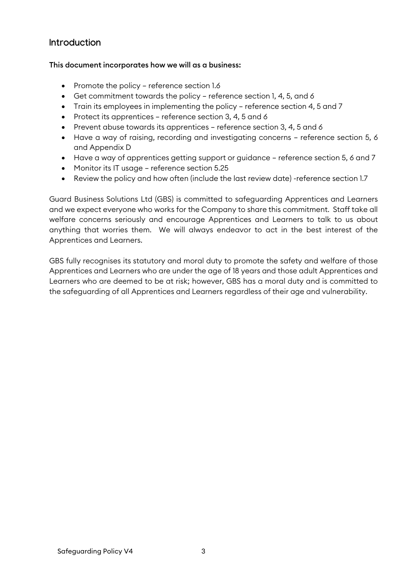#### **Introduction**

#### This document incorporates how we will as a business:

- Promote the policy reference section 1.6
- Get commitment towards the policy reference section 1, 4, 5, and 6
- Train its employees in implementing the policy reference section 4, 5 and 7
- Protect its apprentices reference section 3, 4, 5 and 6
- Prevent abuse towards its apprentices reference section 3, 4, 5 and 6
- Have a way of raising, recording and investigating concerns reference section 5, 6 and Appendix D
- Have a way of apprentices getting support or guidance reference section 5, 6 and 7
- Monitor its IT usage reference section 5.25
- Review the policy and how often (include the last review date) -reference section 1.7

Guard Business Solutions Ltd (GBS) is committed to safeguarding Apprentices and Learners and we expect everyone who works for the Company to share this commitment. Staff take all welfare concerns seriously and encourage Apprentices and Learners to talk to us about anything that worries them. We will always endeavor to act in the best interest of the Apprentices and Learners.

GBS fully recognises its statutory and moral duty to promote the safety and welfare of those Apprentices and Learners who are under the age of 18 years and those adult Apprentices and Learners who are deemed to be at risk; however, GBS has a moral duty and is committed to the safeguarding of all Apprentices and Learners regardless of their age and vulnerability.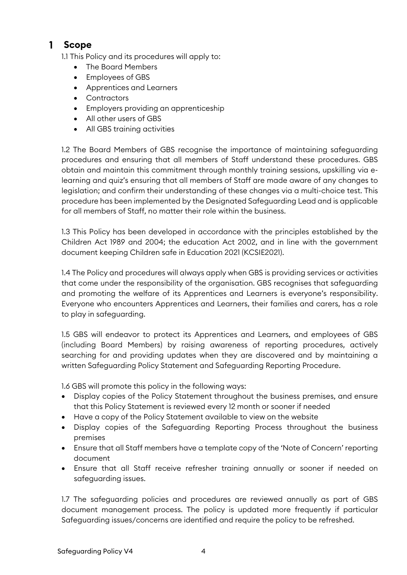## **Scope**

1.1 This Policy and its procedures will apply to:

- The Board Members
- Employees of GBS
- Apprentices and Learners
- Contractors
- Employers providing an apprenticeship
- All other users of GBS
- All GBS training activities

1.2 The Board Members of GBS recognise the importance of maintaining safeguarding procedures and ensuring that all members of Staff understand these procedures. GBS obtain and maintain this commitment through monthly training sessions, upskilling via elearning and quiz's ensuring that all members of Staff are made aware of any changes to legislation; and confirm their understanding of these changes via a multi-choice test. This procedure has been implemented by the Designated Safeguarding Lead and is applicable for all members of Staff, no matter their role within the business.

1.3 This Policy has been developed in accordance with the principles established by the Children Act 1989 and 2004; the education Act 2002, and in line with the government document keeping Children safe in Education 2021 (KCSIE2021).

1.4 The Policy and procedures will always apply when GBS is providing services or activities that come under the responsibility of the organisation. GBS recognises that safeguarding and promoting the welfare of its Apprentices and Learners is everyone's responsibility. Everyone who encounters Apprentices and Learners, their families and carers, has a role to play in safeguarding.

1.5 GBS will endeavor to protect its Apprentices and Learners, and employees of GBS (including Board Members) by raising awareness of reporting procedures, actively searching for and providing updates when they are discovered and by maintaining a written Safeguarding Policy Statement and Safeguarding Reporting Procedure.

1.6 GBS will promote this policy in the following ways:

- Display copies of the Policy Statement throughout the business premises, and ensure that this Policy Statement is reviewed every 12 month or sooner if needed
- Have a copy of the Policy Statement available to view on the website
- Display copies of the Safeguarding Reporting Process throughout the business premises
- Ensure that all Staff members have a template copy of the 'Note of Concern' reporting document
- Ensure that all Staff receive refresher training annually or sooner if needed on safeguarding issues.

1.7 The safeguarding policies and procedures are reviewed annually as part of GBS document management process. The policy is updated more frequently if particular Safeguarding issues/concerns are identified and require the policy to be refreshed.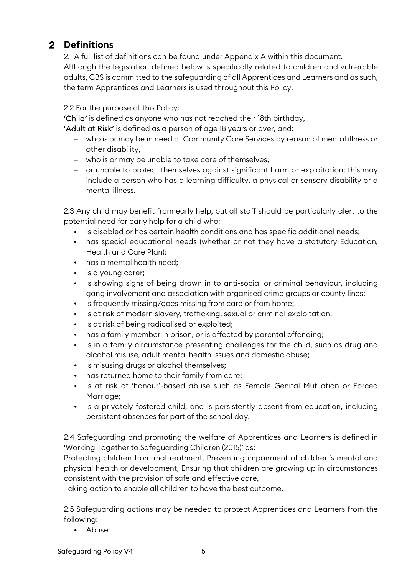## **Definitions**

2.1 A full list of definitions can be found under Appendix A within this document. Although the legislation defined below is specifically related to children and vulnerable adults, GBS is committed to the safeguarding of all Apprentices and Learners and as such, the term Apprentices and Learners is used throughout this Policy.

2.2 For the purpose of this Policy:

'Child' is defined as anyone who has not reached their 18th birthday,

'Adult at Risk' is defined as a person of age 18 years or over, and:

- − who is or may be in need of Community Care Services by reason of mental illness or other disability,
- − who is or may be unable to take care of themselves,
- − or unable to protect themselves against significant harm or exploitation; this may include a person who has a learning difficulty, a physical or sensory disability or a mental illness.

2.3 Any child may benefit from early help, but all staff should be particularly alert to the potential need for early help for a child who:

- is disabled or has certain health conditions and has specific additional needs;
- has special educational needs (whether or not they have a statutory Education, Health and Care Plan);
- has a mental health need;
- is a young carer;
- is showing signs of being drawn in to anti-social or criminal behaviour, including gang involvement and association with organised crime groups or county lines;
- is frequently missing/goes missing from care or from home;
- is at risk of modern slavery, trafficking, sexual or criminal exploitation;
- is at risk of being radicalised or exploited;
- has a family member in prison, or is affected by parental offending;
- is in a family circumstance presenting challenges for the child, such as drug and alcohol misuse, adult mental health issues and domestic abuse;
- is misusing drugs or alcohol themselves;
- has returned home to their family from care;
- is at risk of 'honour'-based abuse such as Female Genital Mutilation or Forced Marriage;
- is a privately fostered child; and is persistently absent from education, including persistent absences for part of the school day.

2.4 Safeguarding and promoting the welfare of Apprentices and Learners is defined in 'Working Together to Safeguarding Children (2015)' as:

Protecting children from maltreatment, Preventing impairment of children's mental and physical health or development, Ensuring that children are growing up in circumstances consistent with the provision of safe and effective care,

Taking action to enable all children to have the best outcome.

2.5 Safeguarding actions may be needed to protect Apprentices and Learners from the following:

• Abuse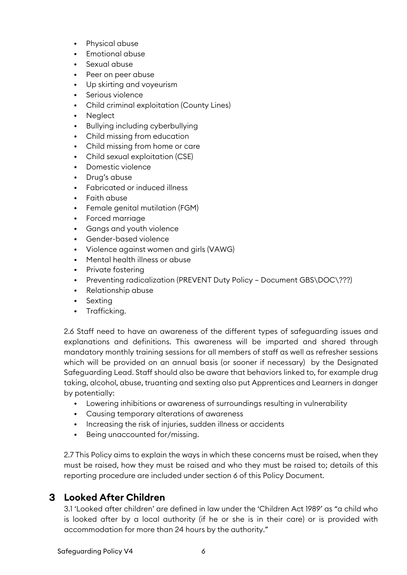- Physical abuse
- Emotional abuse
- Sexual abuse
- Peer on peer abuse
- Up skirting and voyeurism
- Serious violence
- Child criminal exploitation (County Lines)
- **Neglect**
- Bullying including cyberbullying
- Child missing from education
- Child missing from home or care
- Child sexual exploitation (CSE)
- Domestic violence
- Drug's abuse
- Fabricated or induced illness
- Faith abuse
- Female genital mutilation (FGM)
- Forced marriage
- Gangs and youth violence
- Gender-based violence
- Violence against women and girls (VAWG)
- Mental health illness or abuse
- Private fostering
- Preventing radicalization (PREVENT Duty Policy Document GBS\DOC\???)
- Relationship abuse
- **Sexting**
- Trafficking.

2.6 Staff need to have an awareness of the different types of safeguarding issues and explanations and definitions. This awareness will be imparted and shared through mandatory monthly training sessions for all members of staff as well as refresher sessions which will be provided on an annual basis (or sooner if necessary) by the Designated Safeguarding Lead. Staff should also be aware that behaviors linked to, for example drug taking, alcohol, abuse, truanting and sexting also put Apprentices and Learners in danger by potentially:

- Lowering inhibitions or awareness of surroundings resulting in vulnerability
- Causing temporary alterations of awareness
- Increasing the risk of injuries, sudden illness or accidents
- Being unaccounted for/missing.

2.7 This Policy aims to explain the ways in which these concerns must be raised, when they must be raised, how they must be raised and who they must be raised to; details of this reporting procedure are included under section 6 of this Policy Document.

## **Looked After Children**

3.1 'Looked after children' are defined in law under the 'Children Act 1989' as "a child who is looked after by a local authority (if he or she is in their care) or is provided with accommodation for more than 24 hours by the authority."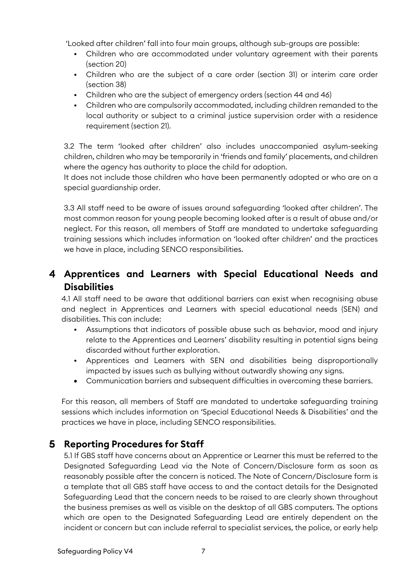'Looked after children' fall into four main groups, although sub-groups are possible:

- Children who are accommodated under voluntary agreement with their parents (section 20)
- Children who are the subject of a care order (section 31) or interim care order (section 38)
- Children who are the subject of emergency orders (section 44 and 46)
- Children who are compulsorily accommodated, including children remanded to the local authority or subject to a criminal justice supervision order with a residence requirement (section 21).

3.2 The term 'looked after children' also includes unaccompanied asylum-seeking children, children who may be temporarily in 'friends and family' placements, and children where the agency has authority to place the child for adoption.

It does not include those children who have been permanently adopted or who are on a special guardianship order.

3.3 All staff need to be aware of issues around safeguarding 'looked after children'. The most common reason for young people becoming looked after is a result of abuse and/or neglect. For this reason, all members of Staff are mandated to undertake safeguarding training sessions which includes information on 'looked after children' and the practices we have in place, including SENCO responsibilities.

## **Apprentices and Learners with Special Educational Needs and Disabilities**

4.1 All staff need to be aware that additional barriers can exist when recognising abuse and neglect in Apprentices and Learners with special educational needs (SEN) and disabilities. This can include:

- Assumptions that indicators of possible abuse such as behavior, mood and injury relate to the Apprentices and Learners' disability resulting in potential signs being discarded without further exploration.
- Apprentices and Learners with SEN and disabilities being disproportionally impacted by issues such as bullying without outwardly showing any signs.
- Communication barriers and subsequent difficulties in overcoming these barriers.

For this reason, all members of Staff are mandated to undertake safeguarding training sessions which includes information on 'Special Educational Needs & Disabilities' and the practices we have in place, including SENCO responsibilities.

## **Reporting Procedures for Staff**

5.1 If GBS staff have concerns about an Apprentice or Learner this must be referred to the Designated Safeguarding Lead via the Note of Concern/Disclosure form as soon as reasonably possible after the concern is noticed. The Note of Concern/Disclosure form is a template that all GBS staff have access to and the contact details for the Designated Safeguarding Lead that the concern needs to be raised to are clearly shown throughout the business premises as well as visible on the desktop of all GBS computers. The options which are open to the Designated Safeguarding Lead are entirely dependent on the incident or concern but can include referral to specialist services, the police, or early help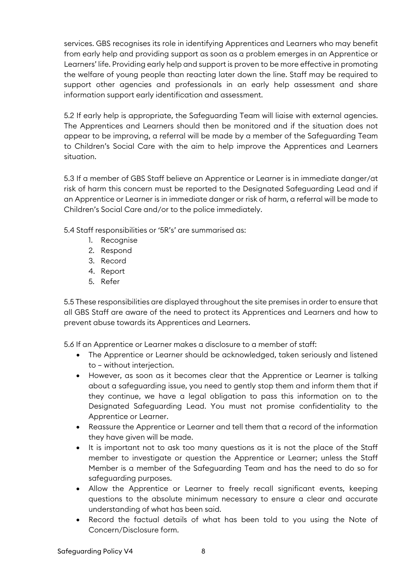services. GBS recognises its role in identifying Apprentices and Learners who may benefit from early help and providing support as soon as a problem emerges in an Apprentice or Learners' life. Providing early help and support is proven to be more effective in promoting the welfare of young people than reacting later down the line. Staff may be required to support other agencies and professionals in an early help assessment and share information support early identification and assessment.

5.2 If early help is appropriate, the Safeguarding Team will liaise with external agencies. The Apprentices and Learners should then be monitored and if the situation does not appear to be improving, a referral will be made by a member of the Safeguarding Team to Children's Social Care with the aim to help improve the Apprentices and Learners situation.

5.3 If a member of GBS Staff believe an Apprentice or Learner is in immediate danger/at risk of harm this concern must be reported to the Designated Safeguarding Lead and if an Apprentice or Learner is in immediate danger or risk of harm, a referral will be made to Children's Social Care and/or to the police immediately.

5.4 Staff responsibilities or '5R's' are summarised as:

- 1. Recognise
- 2. Respond
- 3. Record
- 4. Report
- 5. Refer

5.5 These responsibilities are displayed throughout the site premises in order to ensure that all GBS Staff are aware of the need to protect its Apprentices and Learners and how to prevent abuse towards its Apprentices and Learners.

5.6 If an Apprentice or Learner makes a disclosure to a member of staff:

- The Apprentice or Learner should be acknowledged, taken seriously and listened to – without interjection.
- However, as soon as it becomes clear that the Apprentice or Learner is talking about a safeguarding issue, you need to gently stop them and inform them that if they continue, we have a legal obligation to pass this information on to the Designated Safeguarding Lead. You must not promise confidentiality to the Apprentice or Learner.
- Reassure the Apprentice or Learner and tell them that a record of the information they have given will be made.
- It is important not to ask too many questions as it is not the place of the Staff member to investigate or question the Apprentice or Learner; unless the Staff Member is a member of the Safeguarding Team and has the need to do so for safeguarding purposes.
- Allow the Apprentice or Learner to freely recall significant events, keeping questions to the absolute minimum necessary to ensure a clear and accurate understanding of what has been said.
- Record the factual details of what has been told to you using the Note of Concern/Disclosure form.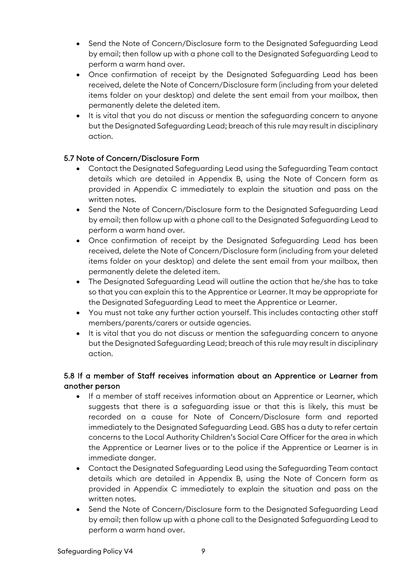- Send the Note of Concern/Disclosure form to the Designated Safeguarding Lead by email; then follow up with a phone call to the Designated Safeguarding Lead to perform a warm hand over.
- Once confirmation of receipt by the Designated Safeguarding Lead has been received, delete the Note of Concern/Disclosure form (including from your deleted items folder on your desktop) and delete the sent email from your mailbox, then permanently delete the deleted item.
- It is vital that you do not discuss or mention the safeguarding concern to anyone but the Designated Safeguarding Lead; breach of this rule may result in disciplinary action.

#### 5.7 Note of Concern/Disclosure Form

- Contact the Designated Safeguarding Lead using the Safeguarding Team contact details which are detailed in Appendix B, using the Note of Concern form as provided in Appendix C immediately to explain the situation and pass on the written notes.
- Send the Note of Concern/Disclosure form to the Designated Safeguarding Lead by email; then follow up with a phone call to the Designated Safeguarding Lead to perform a warm hand over.
- Once confirmation of receipt by the Designated Safeguarding Lead has been received, delete the Note of Concern/Disclosure form (including from your deleted items folder on your desktop) and delete the sent email from your mailbox, then permanently delete the deleted item.
- The Designated Safeguarding Lead will outline the action that he/she has to take so that you can explain this to the Apprentice or Learner. It may be appropriate for the Designated Safeguarding Lead to meet the Apprentice or Learner.
- You must not take any further action yourself. This includes contacting other staff members/parents/carers or outside agencies.
- It is vital that you do not discuss or mention the safeguarding concern to anyone but the Designated Safeguarding Lead; breach of this rule may result in disciplinary action.

#### 5.8 If a member of Staff receives information about an Apprentice or Learner from another person

- If a member of staff receives information about an Apprentice or Learner, which suggests that there is a safeguarding issue or that this is likely, this must be recorded on a cause for Note of Concern/Disclosure form and reported immediately to the Designated Safeguarding Lead. GBS has a duty to refer certain concerns to the Local Authority Children's Social Care Officer for the area in which the Apprentice or Learner lives or to the police if the Apprentice or Learner is in immediate danger.
- Contact the Designated Safeguarding Lead using the Safeguarding Team contact details which are detailed in Appendix B, using the Note of Concern form as provided in Appendix C immediately to explain the situation and pass on the written notes.
- Send the Note of Concern/Disclosure form to the Designated Safeguarding Lead by email; then follow up with a phone call to the Designated Safeguarding Lead to perform a warm hand over.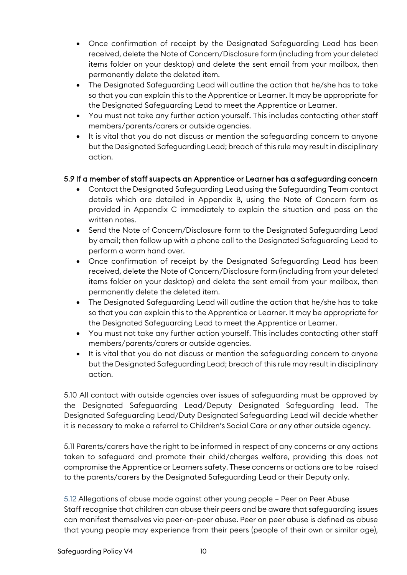- Once confirmation of receipt by the Designated Safeguarding Lead has been received, delete the Note of Concern/Disclosure form (including from your deleted items folder on your desktop) and delete the sent email from your mailbox, then permanently delete the deleted item.
- The Designated Safeguarding Lead will outline the action that he/she has to take so that you can explain this to the Apprentice or Learner. It may be appropriate for the Designated Safeguarding Lead to meet the Apprentice or Learner.
- You must not take any further action yourself. This includes contacting other staff members/parents/carers or outside agencies.
- It is vital that you do not discuss or mention the safeguarding concern to anyone but the Designated Safeguarding Lead; breach of this rule may result in disciplinary action.

#### 5.9 If a member of staff suspects an Apprentice or Learner has a safeguarding concern

- Contact the Designated Safeguarding Lead using the Safeguarding Team contact details which are detailed in Appendix B, using the Note of Concern form as provided in Appendix C immediately to explain the situation and pass on the written notes.
- Send the Note of Concern/Disclosure form to the Designated Safeguarding Lead by email; then follow up with a phone call to the Designated Safeguarding Lead to perform a warm hand over.
- Once confirmation of receipt by the Designated Safeguarding Lead has been received, delete the Note of Concern/Disclosure form (including from your deleted items folder on your desktop) and delete the sent email from your mailbox, then permanently delete the deleted item.
- The Designated Safeguarding Lead will outline the action that he/she has to take so that you can explain this to the Apprentice or Learner. It may be appropriate for the Designated Safeguarding Lead to meet the Apprentice or Learner.
- You must not take any further action yourself. This includes contacting other staff members/parents/carers or outside agencies.
- It is vital that you do not discuss or mention the safeguarding concern to anyone but the Designated Safeguarding Lead; breach of this rule may result in disciplinary action.

5.10 All contact with outside agencies over issues of safeguarding must be approved by the Designated Safeguarding Lead/Deputy Designated Safeguarding lead. The Designated Safeguarding Lead/Duty Designated Safeguarding Lead will decide whether it is necessary to make a referral to Children's Social Care or any other outside agency.

5.11 Parents/carers have the right to be informed in respect of any concerns or any actions taken to safeguard and promote their child/charges welfare, providing this does not compromise the Apprentice or Learners safety. These concerns or actions are to be raised to the parents/carers by the Designated Safeguarding Lead or their Deputy only.

5.12 Allegations of abuse made against other young people – Peer on Peer Abuse Staff recognise that children can abuse their peers and be aware that safeguarding issues can manifest themselves via peer-on-peer abuse. Peer on peer abuse is defined as abuse that young people may experience from their peers (people of their own or similar age),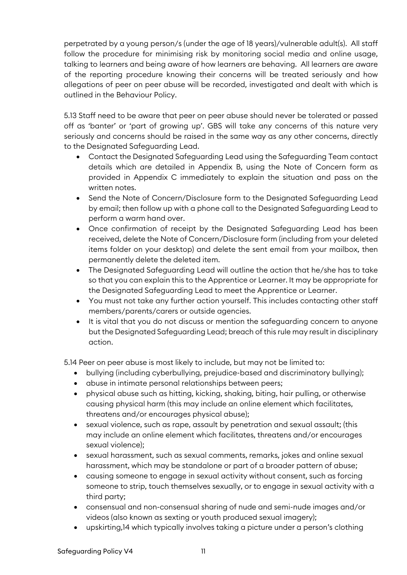perpetrated by a young person/s (under the age of 18 years)/vulnerable adult(s). All staff follow the procedure for minimising risk by monitoring social media and online usage, talking to learners and being aware of how learners are behaving. All learners are aware of the reporting procedure knowing their concerns will be treated seriously and how allegations of peer on peer abuse will be recorded, investigated and dealt with which is outlined in the Behaviour Policy.

5.13 Staff need to be aware that peer on peer abuse should never be tolerated or passed off as 'banter' or 'part of growing up'. GBS will take any concerns of this nature very seriously and concerns should be raised in the same way as any other concerns, directly to the Designated Safeguarding Lead.

- Contact the Designated Safeguarding Lead using the Safeguarding Team contact details which are detailed in Appendix B, using the Note of Concern form as provided in Appendix C immediately to explain the situation and pass on the written notes.
- Send the Note of Concern/Disclosure form to the Designated Safeguarding Lead by email; then follow up with a phone call to the Designated Safeguarding Lead to perform a warm hand over.
- Once confirmation of receipt by the Designated Safeguarding Lead has been received, delete the Note of Concern/Disclosure form (including from your deleted items folder on your desktop) and delete the sent email from your mailbox, then permanently delete the deleted item.
- The Designated Safeguarding Lead will outline the action that he/she has to take so that you can explain this to the Apprentice or Learner. It may be appropriate for the Designated Safeguarding Lead to meet the Apprentice or Learner.
- You must not take any further action yourself. This includes contacting other staff members/parents/carers or outside agencies.
- It is vital that you do not discuss or mention the safeguarding concern to anyone but the Designated Safeguarding Lead; breach of this rule may result in disciplinary action.

5.14 Peer on peer abuse is most likely to include, but may not be limited to:

- bullying (including cyberbullying, prejudice-based and discriminatory bullying);
- abuse in intimate personal relationships between peers;
- physical abuse such as hitting, kicking, shaking, biting, hair pulling, or otherwise causing physical harm (this may include an online element which facilitates, threatens and/or encourages physical abuse);
- sexual violence, such as rape, assault by penetration and sexual assault; (this may include an online element which facilitates, threatens and/or encourages sexual violence);
- sexual harassment, such as sexual comments, remarks, jokes and online sexual harassment, which may be standalone or part of a broader pattern of abuse;
- causing someone to engage in sexual activity without consent, such as forcing someone to strip, touch themselves sexually, or to engage in sexual activity with a third party;
- consensual and non-consensual sharing of nude and semi-nude images and/or videos (also known as sexting or youth produced sexual imagery);
- upskirting,14 which typically involves taking a picture under a person's clothing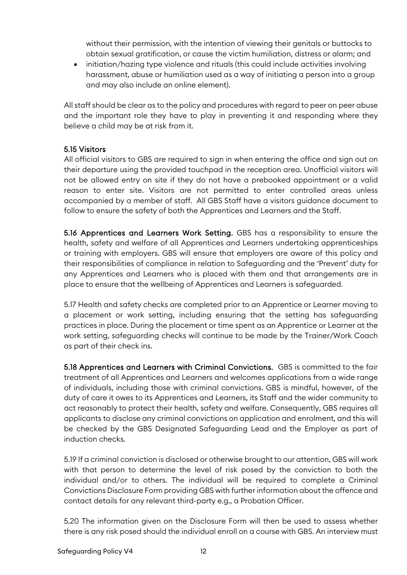without their permission, with the intention of viewing their genitals or buttocks to obtain sexual gratification, or cause the victim humiliation, distress or alarm; and

• initiation/hazing type violence and rituals (this could include activities involving harassment, abuse or humiliation used as a way of initiating a person into a group and may also include an online element).

All staff should be clear as to the policy and procedures with regard to peer on peer abuse and the important role they have to play in preventing it and responding where they believe a child may be at risk from it.

#### 5.15 Visitors

All official visitors to GBS are required to sign in when entering the office and sign out on their departure using the provided touchpad in the reception area. Unofficial visitors will not be allowed entry on site if they do not have a prebooked appointment or a valid reason to enter site. Visitors are not permitted to enter controlled areas unless accompanied by a member of staff. All GBS Staff have a visitors guidance document to follow to ensure the safety of both the Apprentices and Learners and the Staff.

5.16 Apprentices and Learners Work Setting. GBS has a responsibility to ensure the health, safety and welfare of all Apprentices and Learners undertaking apprenticeships or training with employers. GBS will ensure that employers are aware of this policy and their responsibilities of compliance in relation to Safeguarding and the 'Prevent' duty for any Apprentices and Learners who is placed with them and that arrangements are in place to ensure that the wellbeing of Apprentices and Learners is safeguarded.

5.17 Health and safety checks are completed prior to an Apprentice or Learner moving to a placement or work setting, including ensuring that the setting has safeguarding practices in place. During the placement or time spent as an Apprentice or Learner at the work setting, safeguarding checks will continue to be made by the Trainer/Work Coach as part of their check ins.

5.18 Apprentices and Learners with Criminal Convictions. GBS is committed to the fair treatment of all Apprentices and Learners and welcomes applications from a wide range of individuals, including those with criminal convictions. GBS is mindful, however, of the duty of care it owes to its Apprentices and Learners, its Staff and the wider community to act reasonably to protect their health, safety and welfare. Consequently, GBS requires all applicants to disclose any criminal convictions on application and enrolment, and this will be checked by the GBS Designated Safeguarding Lead and the Employer as part of induction checks.

5.19 If a criminal conviction is disclosed or otherwise brought to our attention, GBS will work with that person to determine the level of risk posed by the conviction to both the individual and/or to others. The individual will be required to complete a Criminal Convictions Disclosure Form providing GBS with further information about the offence and contact details for any relevant third-party e.g., a Probation Officer.

5.20 The information given on the Disclosure Form will then be used to assess whether there is any risk posed should the individual enroll on a course with GBS. An interview must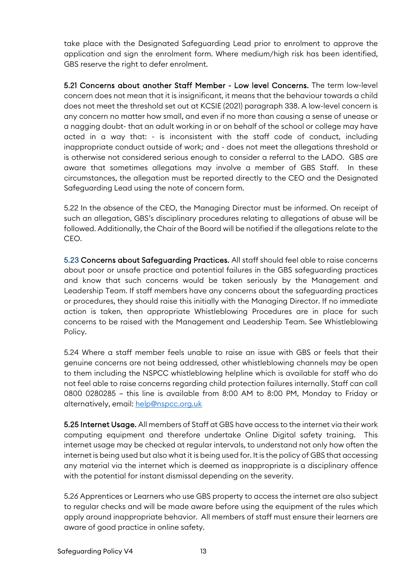take place with the Designated Safeguarding Lead prior to enrolment to approve the application and sign the enrolment form. Where medium/high risk has been identified, GBS reserve the right to defer enrolment.

5.21 Concerns about another Staff Member - Low level Concerns. The term low-level concern does not mean that it is insignificant, it means that the behaviour towards a child does not meet the threshold set out at KCSIE (2021) paragraph 338. A low-level concern is any concern no matter how small, and even if no more than causing a sense of unease or a nagging doubt- that an adult working in or on behalf of the school or college may have acted in a way that: - is inconsistent with the staff code of conduct, including inappropriate conduct outside of work; and - does not meet the allegations threshold or is otherwise not considered serious enough to consider a referral to the LADO. GBS are aware that sometimes allegations may involve a member of GBS Staff. In these circumstances, the allegation must be reported directly to the CEO and the Designated Safeguarding Lead using the note of concern form.

5.22 In the absence of the CEO, the Managing Director must be informed. On receipt of such an allegation, GBS's disciplinary procedures relating to allegations of abuse will be followed. Additionally, the Chair of the Board will be notified if the allegations relate to the CEO.

5.23 Concerns about Safeguarding Practices. All staff should feel able to raise concerns about poor or unsafe practice and potential failures in the GBS safeguarding practices and know that such concerns would be taken seriously by the Management and Leadership Team. If staff members have any concerns about the safeguarding practices or procedures, they should raise this initially with the Managing Director. If no immediate action is taken, then appropriate Whistleblowing Procedures are in place for such concerns to be raised with the Management and Leadership Team. See Whistleblowing Policy.

5.24 Where a staff member feels unable to raise an issue with GBS or feels that their genuine concerns are not being addressed, other whistleblowing channels may be open to them including the NSPCC whistleblowing helpline which is available for staff who do not feel able to raise concerns regarding child protection failures internally. Staff can call 0800 0280285 – this line is available from 8:00 AM to 8:00 PM, Monday to Friday or alternatively, email: [help@nspcc.org.uk](mailto:help@nspcc.org.uk)

5.25 Internet Usage. All members of Staff at GBS have access to the internet via their work computing equipment and therefore undertake Online Digital safety training. This internet usage may be checked at regular intervals, to understand not only how often the internet is being used but also what it is being used for. It is the policy of GBS that accessing any material via the internet which is deemed as inappropriate is a disciplinary offence with the potential for instant dismissal depending on the severity.

5.26 Apprentices or Learners who use GBS property to access the internet are also subject to regular checks and will be made aware before using the equipment of the rules which apply around inappropriate behavior. All members of staff must ensure their learners are aware of good practice in online safety.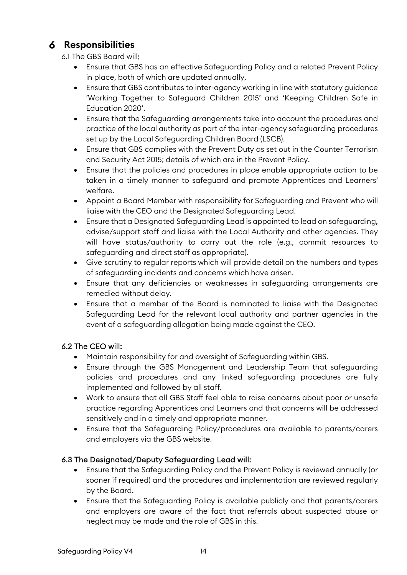## **Responsibilities**

6.1 The GBS Board will:

- Ensure that GBS has an effective Safeguarding Policy and a related Prevent Policy in place, both of which are updated annually,
- Ensure that GBS contributes to inter-agency working in line with statutory guidance 'Working Together to Safeguard Children 2015' and 'Keeping Children Safe in Education 2020'.
- Ensure that the Safeguarding arrangements take into account the procedures and practice of the local authority as part of the inter-agency safeguarding procedures set up by the Local Safeguarding Children Board (LSCB).
- Ensure that GBS complies with the Prevent Duty as set out in the Counter Terrorism and Security Act 2015; details of which are in the Prevent Policy.
- Ensure that the policies and procedures in place enable appropriate action to be taken in a timely manner to safeguard and promote Apprentices and Learners' welfare.
- Appoint a Board Member with responsibility for Safeguarding and Prevent who will liaise with the CEO and the Designated Safeguarding Lead.
- Ensure that a Designated Safeguarding Lead is appointed to lead on safeguarding, advise/support staff and liaise with the Local Authority and other agencies. They will have status/authority to carry out the role (e.g., commit resources to safeguarding and direct staff as appropriate).
- Give scrutiny to regular reports which will provide detail on the numbers and types of safeguarding incidents and concerns which have arisen.
- Ensure that any deficiencies or weaknesses in safeguarding arrangements are remedied without delay.
- Ensure that a member of the Board is nominated to liaise with the Designated Safeguarding Lead for the relevant local authority and partner agencies in the event of a safeguarding allegation being made against the CEO.

#### 6.2 The CEO will:

- Maintain responsibility for and oversight of Safeguarding within GBS.
- Ensure through the GBS Management and Leadership Team that safeguarding policies and procedures and any linked safeguarding procedures are fully implemented and followed by all staff.
- Work to ensure that all GBS Staff feel able to raise concerns about poor or unsafe practice regarding Apprentices and Learners and that concerns will be addressed sensitively and in a timely and appropriate manner.
- Ensure that the Safeguarding Policy/procedures are available to parents/carers and employers via the GBS website.

#### 6.3 The Designated/Deputy Safeguarding Lead will:

- Ensure that the Safeguarding Policy and the Prevent Policy is reviewed annually (or sooner if required) and the procedures and implementation are reviewed regularly by the Board.
- Ensure that the Safeguarding Policy is available publicly and that parents/carers and employers are aware of the fact that referrals about suspected abuse or neglect may be made and the role of GBS in this.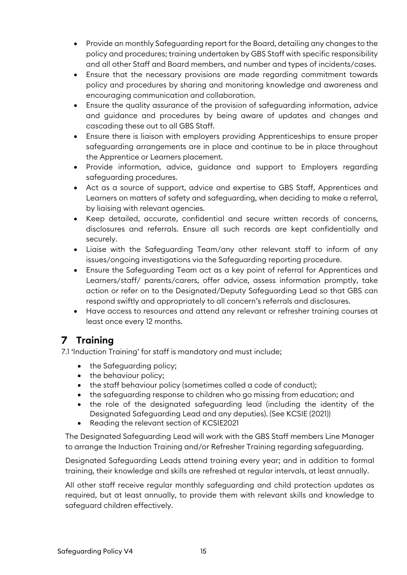- Provide an monthly Safeguarding report for the Board, detailing any changes to the policy and procedures; training undertaken by GBS Staff with specific responsibility and all other Staff and Board members, and number and types of incidents/cases.
- Ensure that the necessary provisions are made regarding commitment towards policy and procedures by sharing and monitoring knowledge and awareness and encouraging communication and collaboration.
- Ensure the quality assurance of the provision of safeguarding information, advice and guidance and procedures by being aware of updates and changes and cascading these out to all GBS Staff.
- Ensure there is liaison with employers providing Apprenticeships to ensure proper safeguarding arrangements are in place and continue to be in place throughout the Apprentice or Learners placement.
- Provide information, advice, guidance and support to Employers regarding safeguarding procedures.
- Act as a source of support, advice and expertise to GBS Staff, Apprentices and Learners on matters of safety and safeguarding, when deciding to make a referral, by liaising with relevant agencies.
- Keep detailed, accurate, confidential and secure written records of concerns, disclosures and referrals. Ensure all such records are kept confidentially and securely.
- Liaise with the Safeguarding Team/any other relevant staff to inform of any issues/ongoing investigations via the Safeguarding reporting procedure.
- Ensure the Safeguarding Team act as a key point of referral for Apprentices and Learners/staff/ parents/carers, offer advice, assess information promptly, take action or refer on to the Designated/Deputy Safeguarding Lead so that GBS can respond swiftly and appropriately to all concern's referrals and disclosures.
- Have access to resources and attend any relevant or refresher training courses at least once every 12 months.

## **Training**

7.1 'Induction Training' for staff is mandatory and must include;

- the Safeguarding policy;
- the behaviour policy;
- the staff behaviour policy (sometimes called a code of conduct);
- the safeguarding response to children who go missing from education; and
- the role of the designated safeguarding lead (including the identity of the Designated Safeguarding Lead and any deputies). (See KCSIE (2021))
- Reading the relevant section of KCSIE2021

The Designated Safeguarding Lead will work with the GBS Staff members Line Manager to arrange the Induction Training and/or Refresher Training regarding safeguarding.

Designated Safeguarding Leads attend training every year; and in addition to formal training, their knowledge and skills are refreshed at regular intervals, at least annually.

All other staff receive regular monthly safeguarding and child protection updates as required, but at least annually, to provide them with relevant skills and knowledge to safeguard children effectively.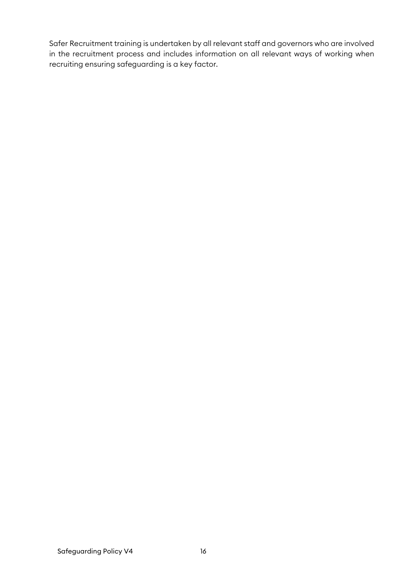Safer Recruitment training is undertaken by all relevant staff and governors who are involved in the recruitment process and includes information on all relevant ways of working when recruiting ensuring safeguarding is a key factor.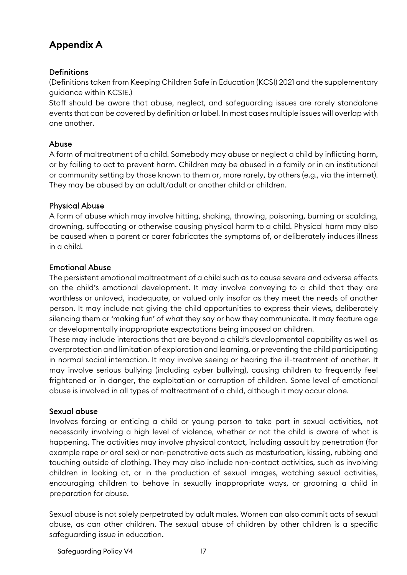## **Appendix A**

#### **Definitions**

(Definitions taken from Keeping Children Safe in Education (KCSI) 2021 and the supplementary guidance within KCSIE.)

Staff should be aware that abuse, neglect, and safeguarding issues are rarely standalone events that can be covered by definition or label. In most cases multiple issues will overlap with one another.

#### Abuse

A form of maltreatment of a child. Somebody may abuse or neglect a child by inflicting harm, or by failing to act to prevent harm. Children may be abused in a family or in an institutional or community setting by those known to them or, more rarely, by others (e.g., via the internet). They may be abused by an adult/adult or another child or children.

#### Physical Abuse

A form of abuse which may involve hitting, shaking, throwing, poisoning, burning or scalding, drowning, suffocating or otherwise causing physical harm to a child. Physical harm may also be caused when a parent or carer fabricates the symptoms of, or deliberately induces illness in a child.

#### Emotional Abuse

The persistent emotional maltreatment of a child such as to cause severe and adverse effects on the child's emotional development. It may involve conveying to a child that they are worthless or unloved, inadequate, or valued only insofar as they meet the needs of another person. It may include not giving the child opportunities to express their views, deliberately silencing them or 'making fun' of what they say or how they communicate. It may feature age or developmentally inappropriate expectations being imposed on children.

These may include interactions that are beyond a child's developmental capability as well as overprotection and limitation of exploration and learning, or preventing the child participating in normal social interaction. It may involve seeing or hearing the ill-treatment of another. It may involve serious bullying (including cyber bullying), causing children to frequently feel frightened or in danger, the exploitation or corruption of children. Some level of emotional abuse is involved in all types of maltreatment of a child, although it may occur alone.

#### Sexual abuse

Involves forcing or enticing a child or young person to take part in sexual activities, not necessarily involving a high level of violence, whether or not the child is aware of what is happening. The activities may involve physical contact, including assault by penetration (for example rape or oral sex) or non-penetrative acts such as masturbation, kissing, rubbing and touching outside of clothing. They may also include non-contact activities, such as involving children in looking at, or in the production of sexual images, watching sexual activities, encouraging children to behave in sexually inappropriate ways, or grooming a child in preparation for abuse.

Sexual abuse is not solely perpetrated by adult males. Women can also commit acts of sexual abuse, as can other children. The sexual abuse of children by other children is a specific safeguarding issue in education.

Safeguarding Policy V4 17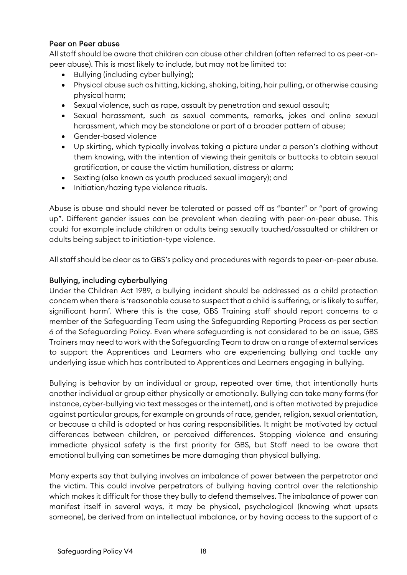#### Peer on Peer abuse

All staff should be aware that children can abuse other children (often referred to as peer-onpeer abuse). This is most likely to include, but may not be limited to:

- Bullying (including cyber bullying);
- Physical abuse such as hitting, kicking, shaking, biting, hair pulling, or otherwise causing physical harm;
- Sexual violence, such as rape, assault by penetration and sexual assault;
- Sexual harassment, such as sexual comments, remarks, jokes and online sexual harassment, which may be standalone or part of a broader pattern of abuse;
- Gender-based violence
- Up skirting, which typically involves taking a picture under a person's clothing without them knowing, with the intention of viewing their genitals or buttocks to obtain sexual gratification, or cause the victim humiliation, distress or alarm;
- Sexting (also known as youth produced sexual imagery); and
- Initiation/hazing type violence rituals.

Abuse is abuse and should never be tolerated or passed off as "banter" or "part of growing up". Different gender issues can be prevalent when dealing with peer-on-peer abuse. This could for example include children or adults being sexually touched/assaulted or children or adults being subject to initiation-type violence.

All staff should be clear as to GBS's policy and procedures with regards to peer-on-peer abuse.

#### Bullying, including cyberbullying

Under the Children Act 1989, a bullying incident should be addressed as a child protection concern when there is 'reasonable cause to suspect that a child is suffering, or is likely to suffer, significant harm'. Where this is the case, GBS Training staff should report concerns to a member of the Safeguarding Team using the Safeguarding Reporting Process as per section 6 of the Safeguarding Policy. Even where safeguarding is not considered to be an issue, GBS Trainers may need to work with the Safeguarding Team to draw on a range of external services to support the Apprentices and Learners who are experiencing bullying and tackle any underlying issue which has contributed to Apprentices and Learners engaging in bullying.

Bullying is behavior by an individual or group, repeated over time, that intentionally hurts another individual or group either physically or emotionally. Bullying can take many forms (for instance, cyber-bullying via text messages or the internet), and is often motivated by prejudice against particular groups, for example on grounds of race, gender, religion, sexual orientation, or because a child is adopted or has caring responsibilities. It might be motivated by actual differences between children, or perceived differences. Stopping violence and ensuring immediate physical safety is the first priority for GBS, but Staff need to be aware that emotional bullying can sometimes be more damaging than physical bullying.

Many experts say that bullying involves an imbalance of power between the perpetrator and the victim. This could involve perpetrators of bullying having control over the relationship which makes it difficult for those they bully to defend themselves. The imbalance of power can manifest itself in several ways, it may be physical, psychological (knowing what upsets someone), be derived from an intellectual imbalance, or by having access to the support of a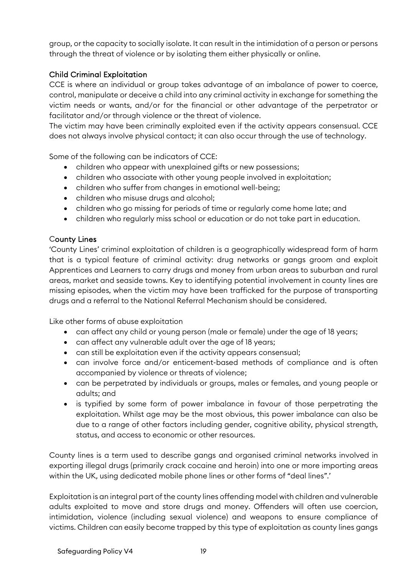group, or the capacity to socially isolate. It can result in the intimidation of a person or persons through the threat of violence or by isolating them either physically or online.

#### Child Criminal Exploitation

CCE is where an individual or group takes advantage of an imbalance of power to coerce, control, manipulate or deceive a child into any criminal activity in exchange for something the victim needs or wants, and/or for the financial or other advantage of the perpetrator or facilitator and/or through violence or the threat of violence.

The victim may have been criminally exploited even if the activity appears consensual. CCE does not always involve physical contact; it can also occur through the use of technology.

Some of the following can be indicators of CCE:

- children who appear with unexplained gifts or new possessions;
- children who associate with other young people involved in exploitation;
- children who suffer from changes in emotional well-being;
- children who misuse drugs and alcohol;
- children who go missing for periods of time or regularly come home late; and
- children who regularly miss school or education or do not take part in education.

#### County Lines

'County Lines' criminal exploitation of children is a geographically widespread form of harm that is a typical feature of criminal activity: drug networks or gangs groom and exploit Apprentices and Learners to carry drugs and money from urban areas to suburban and rural areas, market and seaside towns. Key to identifying potential involvement in county lines are missing episodes, when the victim may have been trafficked for the purpose of transporting drugs and a referral to the National Referral Mechanism should be considered.

Like other forms of abuse exploitation

- can affect any child or young person (male or female) under the age of 18 years;
- can affect any vulnerable adult over the age of 18 years;
- can still be exploitation even if the activity appears consensual;
- can involve force and/or enticement-based methods of compliance and is often accompanied by violence or threats of violence;
- can be perpetrated by individuals or groups, males or females, and young people or adults; and
- is typified by some form of power imbalance in favour of those perpetrating the exploitation. Whilst age may be the most obvious, this power imbalance can also be due to a range of other factors including gender, cognitive ability, physical strength, status, and access to economic or other resources.

County lines is a term used to describe gangs and organised criminal networks involved in exporting illegal drugs (primarily crack cocaine and heroin) into one or more importing areas within the UK, using dedicated mobile phone lines or other forms of "deal lines".'

Exploitation is an integral part of the county lines offending model with children and vulnerable adults exploited to move and store drugs and money. Offenders will often use coercion, intimidation, violence (including sexual violence) and weapons to ensure compliance of victims. Children can easily become trapped by this type of exploitation as county lines gangs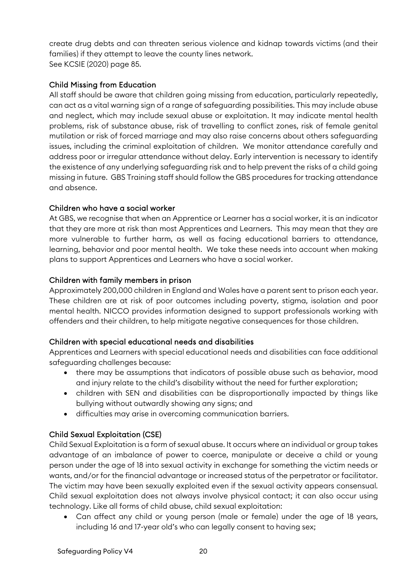create drug debts and can threaten serious violence and kidnap towards victims (and their families) if they attempt to leave the county lines network. See KCSIE (2020) page 85.

#### Child Missing from Education

All staff should be aware that children going missing from education, particularly repeatedly, can act as a vital warning sign of a range of safeguarding possibilities. This may include abuse and neglect, which may include sexual abuse or exploitation. It may indicate mental health problems, risk of substance abuse, risk of travelling to conflict zones, risk of female genital mutilation or risk of forced marriage and may also raise concerns about others safeguarding issues, including the criminal exploitation of children. We monitor attendance carefully and address poor or irregular attendance without delay. Early intervention is necessary to identify the existence of any underlying safeguarding risk and to help prevent the risks of a child going missing in future. GBS Training staff should follow the GBS procedures for tracking attendance and absence.

#### Children who have a social worker

At GBS, we recognise that when an Apprentice or Learner has a social worker, it is an indicator that they are more at risk than most Apprentices and Learners. This may mean that they are more vulnerable to further harm, as well as facing educational barriers to attendance, learning, behavior and poor mental health. We take these needs into account when making plans to support Apprentices and Learners who have a social worker.

#### Children with family members in prison

Approximately 200,000 children in England and Wales have a parent sent to prison each year. These children are at risk of poor outcomes including poverty, stigma, isolation and poor mental health. NICCO provides information designed to support professionals working with offenders and their children, to help mitigate negative consequences for those children.

#### Children with special educational needs and disabilities

Apprentices and Learners with special educational needs and disabilities can face additional safeguarding challenges because:

- there may be assumptions that indicators of possible abuse such as behavior, mood and injury relate to the child's disability without the need for further exploration;
- children with SEN and disabilities can be disproportionally impacted by things like bullying without outwardly showing any signs; and
- difficulties may arise in overcoming communication barriers.

#### Child Sexual Exploitation (CSE)

Child Sexual Exploitation is a form of sexual abuse. It occurs where an individual or group takes advantage of an imbalance of power to coerce, manipulate or deceive a child or young person under the age of 18 into sexual activity in exchange for something the victim needs or wants, and/or for the financial advantage or increased status of the perpetrator or facilitator. The victim may have been sexually exploited even if the sexual activity appears consensual. Child sexual exploitation does not always involve physical contact; it can also occur using technology. Like all forms of child abuse, child sexual exploitation:

• Can affect any child or young person (male or female) under the age of 18 years, including 16 and 17-year old's who can legally consent to having sex;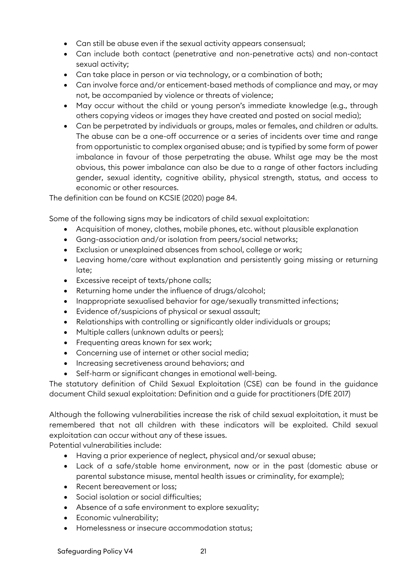- Can still be abuse even if the sexual activity appears consensual;
- Can include both contact (penetrative and non-penetrative acts) and non-contact sexual activity;
- Can take place in person or via technology, or a combination of both;
- Can involve force and/or enticement-based methods of compliance and may, or may not, be accompanied by violence or threats of violence;
- May occur without the child or young person's immediate knowledge (e.g., through others copying videos or images they have created and posted on social media);
- Can be perpetrated by individuals or groups, males or females, and children or adults. The abuse can be a one-off occurrence or a series of incidents over time and range from opportunistic to complex organised abuse; and is typified by some form of power imbalance in favour of those perpetrating the abuse. Whilst age may be the most obvious, this power imbalance can also be due to a range of other factors including gender, sexual identity, cognitive ability, physical strength, status, and access to economic or other resources.

The definition can be found on KCSIE (2020) page 84.

Some of the following signs may be indicators of child sexual exploitation:

- Acquisition of money, clothes, mobile phones, etc. without plausible explanation
- Gang-association and/or isolation from peers/social networks;
- Exclusion or unexplained absences from school, college or work;
- Leaving home/care without explanation and persistently going missing or returning late;
- Excessive receipt of texts/phone calls;
- Returning home under the influence of drugs/alcohol;
- Inappropriate sexualised behavior for age/sexually transmitted infections;
- Evidence of/suspicions of physical or sexual assault;
- Relationships with controlling or significantly older individuals or groups;
- Multiple callers (unknown adults or peers);
- Frequenting areas known for sex work;
- Concerning use of internet or other social media;
- Increasing secretiveness around behaviors; and
- Self-harm or significant changes in emotional well-being.

The statutory definition of Child Sexual Exploitation (CSE) can be found in the guidance document Child sexual exploitation: Definition and a guide for practitioners (DfE 2017)

Although the following vulnerabilities increase the risk of child sexual exploitation, it must be remembered that not all children with these indicators will be exploited. Child sexual exploitation can occur without any of these issues.

Potential vulnerabilities include:

- Having a prior experience of neglect, physical and/or sexual abuse;
- Lack of a safe/stable home environment, now or in the past (domestic abuse or parental substance misuse, mental health issues or criminality, for example);
- Recent bereavement or loss:
- Social isolation or social difficulties;
- Absence of a safe environment to explore sexuality;
- Economic vulnerability;
- Homelessness or insecure accommodation status;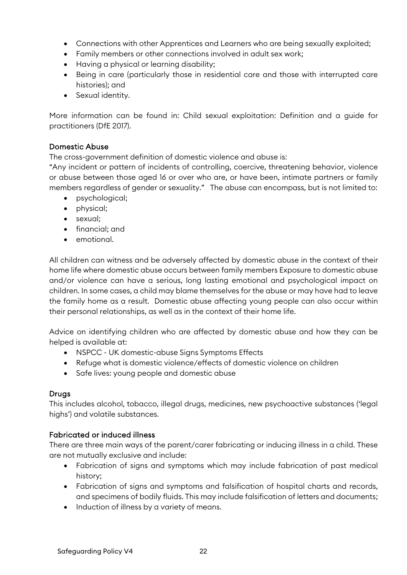- Connections with other Apprentices and Learners who are being sexually exploited;
- Family members or other connections involved in adult sex work;
- Having a physical or learning disability;
- Being in care (particularly those in residential care and those with interrupted care histories); and
- Sexual identity.

More information can be found in: Child sexual exploitation: Definition and a guide for practitioners (DfE 2017).

#### Domestic Abuse

The cross-government definition of domestic violence and abuse is:

"Any incident or pattern of incidents of controlling, coercive, threatening behavior, violence or abuse between those aged 16 or over who are, or have been, intimate partners or family members regardless of gender or sexuality." The abuse can encompass, but is not limited to:

- psychological;
- physical;
- sexual;
- financial; and
- emotional.

All children can witness and be adversely affected by domestic abuse in the context of their home life where domestic abuse occurs between family members Exposure to domestic abuse and/or violence can have a serious, long lasting emotional and psychological impact on children. In some cases, a child may blame themselves for the abuse or may have had to leave the family home as a result. Domestic abuse affecting young people can also occur within their personal relationships, as well as in the context of their home life.

Advice on identifying children who are affected by domestic abuse and how they can be helped is available at:

- NSPCC UK domestic-abuse Signs Symptoms Effects
- Refuge what is domestic violence/effects of domestic violence on children
- Safe lives: young people and domestic abuse

#### **Drugs**

This includes alcohol, tobacco, illegal drugs, medicines, new psychoactive substances ('legal highs') and volatile substances.

#### Fabricated or induced illness

There are three main ways of the parent/carer fabricating or inducing illness in a child. These are not mutually exclusive and include:

- Fabrication of signs and symptoms which may include fabrication of past medical history;
- Fabrication of signs and symptoms and falsification of hospital charts and records, and specimens of bodily fluids. This may include falsification of letters and documents;
- Induction of illness by a variety of means.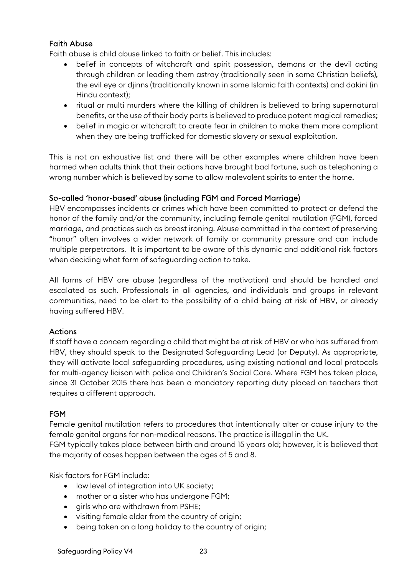#### Faith Abuse

Faith abuse is child abuse linked to faith or belief. This includes:

- belief in concepts of witchcraft and spirit possession, demons or the devil acting through children or leading them astray (traditionally seen in some Christian beliefs), the evil eye or djinns (traditionally known in some Islamic faith contexts) and dakini (in Hindu context);
- ritual or multi murders where the killing of children is believed to bring supernatural benefits, or the use of their body parts is believed to produce potent magical remedies;
- belief in magic or witchcraft to create fear in children to make them more compliant when they are being trafficked for domestic slavery or sexual exploitation.

This is not an exhaustive list and there will be other examples where children have been harmed when adults think that their actions have brought bad fortune, such as telephoning a wrong number which is believed by some to allow malevolent spirits to enter the home.

#### So-called 'honor-based' abuse (including FGM and Forced Marriage)

HBV encompasses incidents or crimes which have been committed to protect or defend the honor of the family and/or the community, including female genital mutilation (FGM), forced marriage, and practices such as breast ironing. Abuse committed in the context of preserving "honor" often involves a wider network of family or community pressure and can include multiple perpetrators. It is important to be aware of this dynamic and additional risk factors when deciding what form of safeguarding action to take.

All forms of HBV are abuse (regardless of the motivation) and should be handled and escalated as such. Professionals in all agencies, and individuals and groups in relevant communities, need to be alert to the possibility of a child being at risk of HBV, or already having suffered HBV.

#### Actions

If staff have a concern regarding a child that might be at risk of HBV or who has suffered from HBV, they should speak to the Designated Safeguarding Lead (or Deputy). As appropriate, they will activate local safeguarding procedures, using existing national and local protocols for multi-agency liaison with police and Children's Social Care. Where FGM has taken place, since 31 October 2015 there has been a mandatory reporting duty placed on teachers that requires a different approach.

#### FGM

Female genital mutilation refers to procedures that intentionally alter or cause injury to the female genital organs for non-medical reasons. The practice is illegal in the UK.

FGM typically takes place between birth and around 15 years old; however, it is believed that the majority of cases happen between the ages of 5 and 8.

Risk factors for FGM include:

- low level of integration into UK society;
- mother or a sister who has undergone FGM;
- girls who are withdrawn from PSHE;
- visiting female elder from the country of origin;
- being taken on a long holiday to the country of origin;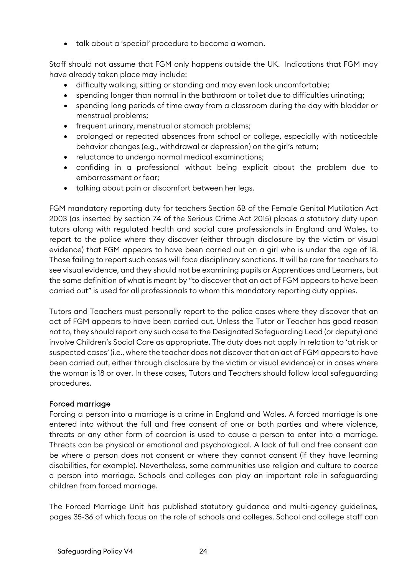• talk about a 'special' procedure to become a woman.

Staff should not assume that FGM only happens outside the UK. Indications that FGM may have already taken place may include:

- difficulty walking, sitting or standing and may even look uncomfortable;
- spending longer than normal in the bathroom or toilet due to difficulties urinating;
- spending long periods of time away from a classroom during the day with bladder or menstrual problems;
- frequent urinary, menstrual or stomach problems;
- prolonged or repeated absences from school or college, especially with noticeable behavior changes (e.g., withdrawal or depression) on the girl's return;
- reluctance to undergo normal medical examinations;
- confiding in a professional without being explicit about the problem due to embarrassment or fear;
- talking about pain or discomfort between her legs.

FGM mandatory reporting duty for teachers Section 5B of the Female Genital Mutilation Act 2003 (as inserted by section 74 of the Serious Crime Act 2015) places a statutory duty upon tutors along with regulated health and social care professionals in England and Wales, to report to the police where they discover (either through disclosure by the victim or visual evidence) that FGM appears to have been carried out on a girl who is under the age of 18. Those failing to report such cases will face disciplinary sanctions. It will be rare for teachers to see visual evidence, and they should not be examining pupils or Apprentices and Learners, but the same definition of what is meant by "to discover that an act of FGM appears to have been carried out" is used for all professionals to whom this mandatory reporting duty applies.

Tutors and Teachers must personally report to the police cases where they discover that an act of FGM appears to have been carried out. Unless the Tutor or Teacher has good reason not to, they should report any such case to the Designated Safeguarding Lead (or deputy) and involve Children's Social Care as appropriate. The duty does not apply in relation to 'at risk or suspected cases' (i.e., where the teacher does not discover that an act of FGM appears to have been carried out, either through disclosure by the victim or visual evidence) or in cases where the woman is 18 or over. In these cases, Tutors and Teachers should follow local safeguarding procedures.

#### Forced marriage

Forcing a person into a marriage is a crime in England and Wales. A forced marriage is one entered into without the full and free consent of one or both parties and where violence, threats or any other form of coercion is used to cause a person to enter into a marriage. Threats can be physical or emotional and psychological. A lack of full and free consent can be where a person does not consent or where they cannot consent (if they have learning disabilities, for example). Nevertheless, some communities use religion and culture to coerce a person into marriage. Schools and colleges can play an important role in safeguarding children from forced marriage.

The Forced Marriage Unit has published statutory guidance and multi-agency guidelines, pages 35-36 of which focus on the role of schools and colleges. School and college staff can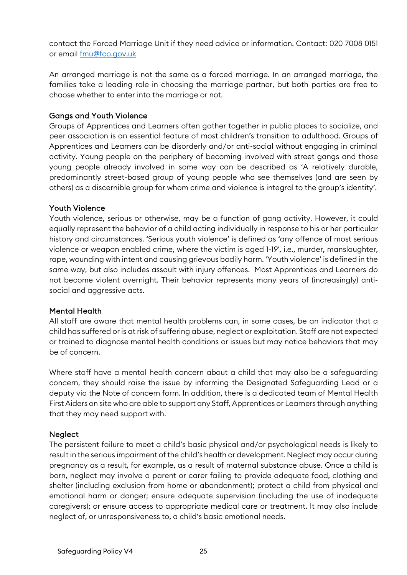contact the Forced Marriage Unit if they need advice or information. Contact: 020 7008 0151 or email [fmu@fco.gov.uk](mailto:fmu@fco.gov.uk) 

An arranged marriage is not the same as a forced marriage. In an arranged marriage, the families take a leading role in choosing the marriage partner, but both parties are free to choose whether to enter into the marriage or not.

#### Gangs and Youth Violence

Groups of Apprentices and Learners often gather together in public places to socialize, and peer association is an essential feature of most children's transition to adulthood. Groups of Apprentices and Learners can be disorderly and/or anti-social without engaging in criminal activity. Young people on the periphery of becoming involved with street gangs and those young people already involved in some way can be described as 'A relatively durable, predominantly street-based group of young people who see themselves (and are seen by others) as a discernible group for whom crime and violence is integral to the group's identity'.

#### Youth Violence

Youth violence, serious or otherwise, may be a function of gang activity. However, it could equally represent the behavior of a child acting individually in response to his or her particular history and circumstances. 'Serious youth violence' is defined as 'any offence of most serious violence or weapon enabled crime, where the victim is aged 1-19', i.e., murder, manslaughter, rape, wounding with intent and causing grievous bodily harm. 'Youth violence' is defined in the same way, but also includes assault with injury offences. Most Apprentices and Learners do not become violent overnight. Their behavior represents many years of (increasingly) antisocial and aggressive acts.

#### Mental Health

All staff are aware that mental health problems can, in some cases, be an indicator that a child has suffered or is at risk of suffering abuse, neglect or exploitation. Staff are not expected or trained to diagnose mental health conditions or issues but may notice behaviors that may be of concern.

Where staff have a mental health concern about a child that may also be a safeguarding concern, they should raise the issue by informing the Designated Safeguarding Lead or a deputy via the Note of concern form. In addition, there is a dedicated team of Mental Health First Aiders on site who are able to support any Staff, Apprentices or Learners through anything that they may need support with.

#### **Neglect**

The persistent failure to meet a child's basic physical and/or psychological needs is likely to result in the serious impairment of the child's health or development. Neglect may occur during pregnancy as a result, for example, as a result of maternal substance abuse. Once a child is born, neglect may involve a parent or carer failing to provide adequate food, clothing and shelter (including exclusion from home or abandonment); protect a child from physical and emotional harm or danger; ensure adequate supervision (including the use of inadequate caregivers); or ensure access to appropriate medical care or treatment. It may also include neglect of, or unresponsiveness to, a child's basic emotional needs.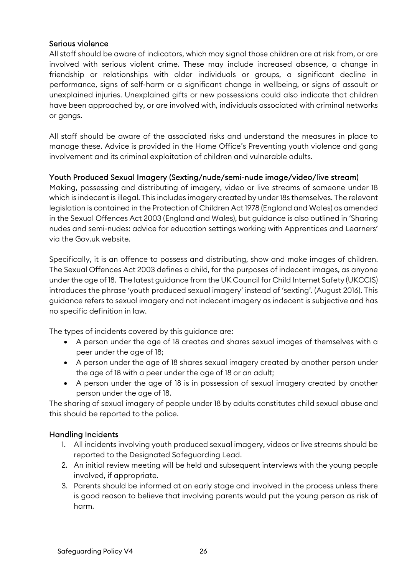#### Serious violence

All staff should be aware of indicators, which may signal those children are at risk from, or are involved with serious violent crime. These may include increased absence, a change in friendship or relationships with older individuals or groups, a significant decline in performance, signs of self-harm or a significant change in wellbeing, or signs of assault or unexplained injuries. Unexplained gifts or new possessions could also indicate that children have been approached by, or are involved with, individuals associated with criminal networks or gangs.

All staff should be aware of the associated risks and understand the measures in place to manage these. Advice is provided in the Home Office's Preventing youth violence and gang involvement and its criminal exploitation of children and vulnerable adults.

#### Youth Produced Sexual Imagery (Sexting/nude/semi-nude image/video/live stream)

Making, possessing and distributing of imagery, video or live streams of someone under 18 which is indecent is illegal. This includes imagery created by under 18s themselves. The relevant legislation is contained in the Protection of Children Act 1978 (England and Wales) as amended in the Sexual Offences Act 2003 (England and Wales), but guidance is also outlined in 'Sharing nudes and semi-nudes: advice for education settings working with Apprentices and Learners' via the Gov.uk website.

Specifically, it is an offence to possess and distributing, show and make images of children. The Sexual Offences Act 2003 defines a child, for the purposes of indecent images, as anyone under the age of 18. The latest guidance from the UK Council for Child Internet Safety (UKCCIS) introduces the phrase 'youth produced sexual imagery' instead of 'sexting'. (August 2016). This guidance refers to sexual imagery and not indecent imagery as indecent is subjective and has no specific definition in law.

The types of incidents covered by this guidance are:

- A person under the age of 18 creates and shares sexual images of themselves with a peer under the age of 18;
- A person under the age of 18 shares sexual imagery created by another person under the age of 18 with a peer under the age of 18 or an adult;
- A person under the age of 18 is in possession of sexual imagery created by another person under the age of 18.

The sharing of sexual imagery of people under 18 by adults constitutes child sexual abuse and this should be reported to the police.

#### Handling Incidents

- 1. All incidents involving youth produced sexual imagery, videos or live streams should be reported to the Designated Safeguarding Lead.
- 2. An initial review meeting will be held and subsequent interviews with the young people involved, if appropriate.
- 3. Parents should be informed at an early stage and involved in the process unless there is good reason to believe that involving parents would put the young person as risk of harm.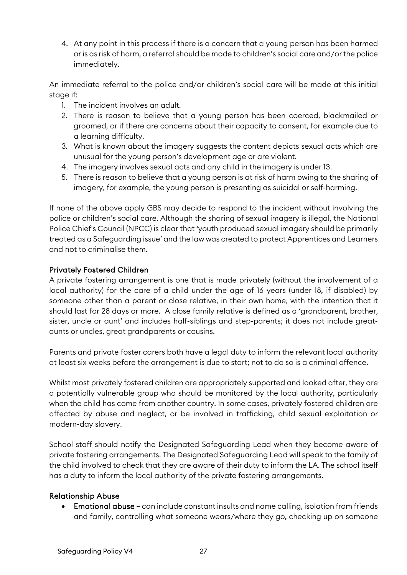4. At any point in this process if there is a concern that a young person has been harmed or is as risk of harm, a referral should be made to children's social care and/or the police immediately.

An immediate referral to the police and/or children's social care will be made at this initial stage if:

- 1. The incident involves an adult.
- 2. There is reason to believe that a young person has been coerced, blackmailed or groomed, or if there are concerns about their capacity to consent, for example due to a learning difficulty.
- 3. What is known about the imagery suggests the content depicts sexual acts which are unusual for the young person's development age or are violent.
- 4. The imagery involves sexual acts and any child in the imagery is under 13.
- 5. There is reason to believe that a young person is at risk of harm owing to the sharing of imagery, for example, the young person is presenting as suicidal or self-harming.

If none of the above apply GBS may decide to respond to the incident without involving the police or children's social care. Although the sharing of sexual imagery is illegal, the National Police Chief's Council (NPCC) is clear that 'youth produced sexual imagery should be primarily treated as a Safeguarding issue' and the law was created to protect Apprentices and Learners and not to criminalise them.

#### Privately Fostered Children

A private fostering arrangement is one that is made privately (without the involvement of a local authority) for the care of a child under the age of 16 years (under 18, if disabled) by someone other than a parent or close relative, in their own home, with the intention that it should last for 28 days or more. A close family relative is defined as a 'grandparent, brother, sister, uncle or aunt' and includes half-siblings and step-parents; it does not include greataunts or uncles, great grandparents or cousins.

Parents and private foster carers both have a legal duty to inform the relevant local authority at least six weeks before the arrangement is due to start; not to do so is a criminal offence.

Whilst most privately fostered children are appropriately supported and looked after, they are a potentially vulnerable group who should be monitored by the local authority, particularly when the child has come from another country. In some cases, privately fostered children are affected by abuse and neglect, or be involved in trafficking, child sexual exploitation or modern-day slavery.

School staff should notify the Designated Safeguarding Lead when they become aware of private fostering arrangements. The Designated Safeguarding Lead will speak to the family of the child involved to check that they are aware of their duty to inform the LA. The school itself has a duty to inform the local authority of the private fostering arrangements.

#### Relationship Abuse

• Emotional abuse – can include constant insults and name calling, isolation from friends and family, controlling what someone wears/where they go, checking up on someone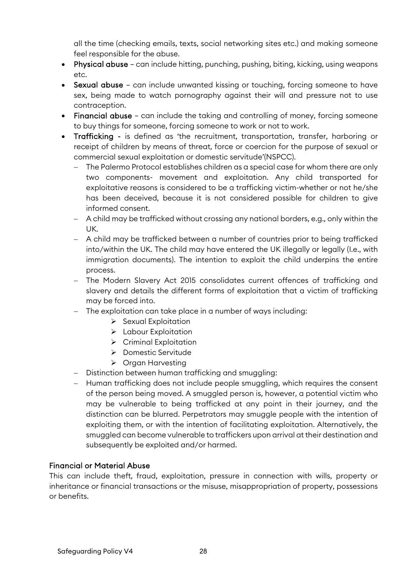all the time (checking emails, texts, social networking sites etc.) and making someone feel responsible for the abuse.

- Physical abuse can include hitting, punching, pushing, biting, kicking, using weapons etc.
- Sexual abuse can include unwanted kissing or touching, forcing someone to have sex, being made to watch pornography against their will and pressure not to use contraception.
- Financial abuse can include the taking and controlling of money, forcing someone to buy things for someone, forcing someone to work or not to work.
- Trafficking is defined as 'the recruitment, transportation, transfer, harboring or receipt of children by means of threat, force or coercion for the purpose of sexual or commercial sexual exploitation or domestic servitude'(NSPCC).
	- − The Palermo Protocol establishes children as a special case for whom there are only two components- movement and exploitation. Any child transported for exploitative reasons is considered to be a trafficking victim-whether or not he/she has been deceived, because it is not considered possible for children to give informed consent.
	- − A child may be trafficked without crossing any national borders, e.g., only within the UK.
	- − A child may be trafficked between a number of countries prior to being trafficked into/within the UK. The child may have entered the UK illegally or legally (I.e., with immigration documents). The intention to exploit the child underpins the entire process.
	- − The Modern Slavery Act 2015 consolidates current offences of trafficking and slavery and details the different forms of exploitation that a victim of trafficking may be forced into.
	- − The exploitation can take place in a number of ways including:
		- $\triangleright$  Sexual Exploitation
		- > Labour Exploitation
		- $\triangleright$  Criminal Exploitation
		- ▶ Domestic Servitude
		- ▶ Organ Harvesting
	- − Distinction between human trafficking and smuggling:
	- − Human trafficking does not include people smuggling, which requires the consent of the person being moved. A smuggled person is, however, a potential victim who may be vulnerable to being trafficked at any point in their journey, and the distinction can be blurred. Perpetrators may smuggle people with the intention of exploiting them, or with the intention of facilitating exploitation. Alternatively, the smuggled can become vulnerable to traffickers upon arrival at their destination and subsequently be exploited and/or harmed.

#### Financial or Material Abuse

This can include theft, fraud, exploitation, pressure in connection with wills, property or inheritance or financial transactions or the misuse, misappropriation of property, possessions or benefits.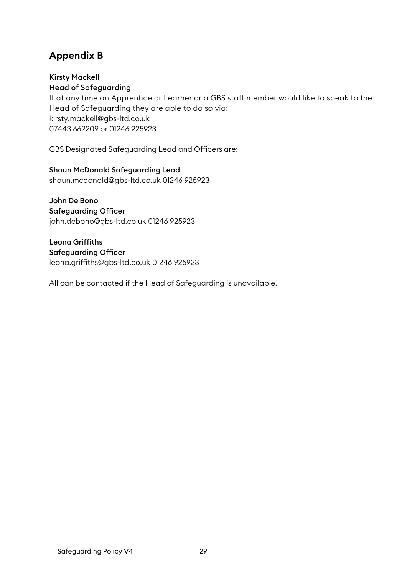## **Appendix B**

Kirsty Mackell Head of Safeguarding If at any time an Apprentice or Learner or a GBS staff member would like to speak to the Head of Safeguarding they are able to do so via: kirsty.mackell@gbs-ltd.co.uk 07443 662209 or 01246 925923

GBS Designated Safeguarding Lead and Officers are:

Shaun McDonald Safeguarding Lead shaun.mcdonald@gbs-ltd.co.uk 01246 925923

John De Bono Safeguarding Officer john.debono@gbs-ltd.co.uk 01246 925923

Leona Griffiths Safeguarding Officer leona.griffiths@gbs-ltd.co.uk 01246 925923

All can be contacted if the Head of Safeguarding is unavailable.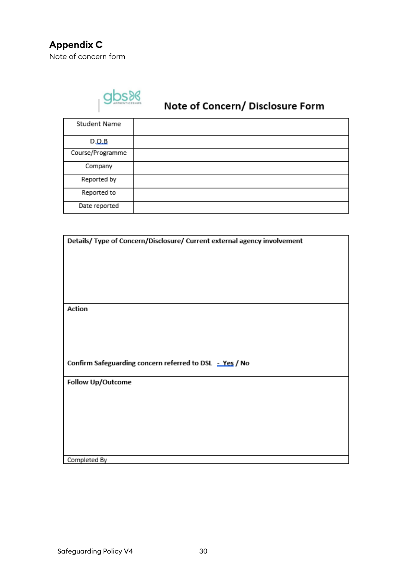Note of concern form



# Note of Concern/ Disclosure Form

| Student Name     |  |
|------------------|--|
| D. Q.B           |  |
| Course/Programme |  |
| Company          |  |
| Reported by      |  |
| Reported to      |  |
| Date reported    |  |

| Details/ Type of Concern/Disclosure/ Current external agency involvement |
|--------------------------------------------------------------------------|
|                                                                          |
|                                                                          |
|                                                                          |
|                                                                          |
|                                                                          |
|                                                                          |
|                                                                          |
|                                                                          |
|                                                                          |
|                                                                          |
|                                                                          |
| Action                                                                   |
|                                                                          |
|                                                                          |
|                                                                          |
|                                                                          |
|                                                                          |
|                                                                          |
|                                                                          |
|                                                                          |
|                                                                          |
|                                                                          |
| Confirm Safeguarding concern referred to DSL - Yes / No                  |
|                                                                          |
|                                                                          |
| Follow Up/Outcome                                                        |
|                                                                          |
|                                                                          |
|                                                                          |
|                                                                          |
|                                                                          |
|                                                                          |
|                                                                          |
|                                                                          |
|                                                                          |
|                                                                          |
|                                                                          |
|                                                                          |
|                                                                          |
|                                                                          |
| Completed By                                                             |